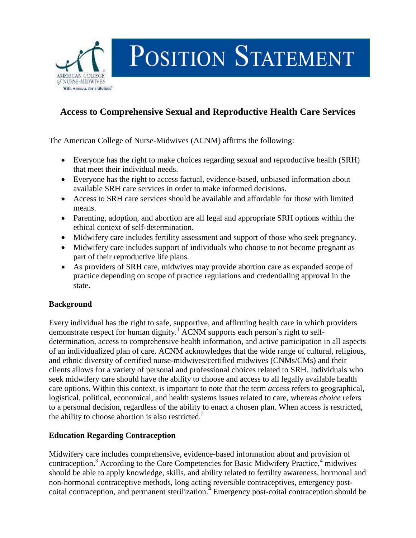

# POSITION STATEMENT

# **Access to Comprehensive Sexual and Reproductive Health Care Services**

The American College of Nurse-Midwives (ACNM) affirms the following:

- Everyone has the right to make choices regarding sexual and reproductive health (SRH) that meet their individual needs.
- Everyone has the right to access factual, evidence-based, unbiased information about available SRH care services in order to make informed decisions.
- Access to SRH care services should be available and affordable for those with limited means.
- Parenting, adoption, and abortion are all legal and appropriate SRH options within the ethical context of self-determination.
- Midwifery care includes fertility assessment and support of those who seek pregnancy.
- Midwifery care includes support of individuals who choose to not become pregnant as part of their reproductive life plans.
- As providers of SRH care, midwives may provide abortion care as expanded scope of practice depending on scope of practice regulations and credentialing approval in the state.

# **Background**

Every individual has the right to safe, supportive, and affirming health care in which providers demonstrate respect for human dignity.<sup>1</sup> ACNM supports each person's right to selfdetermination, access to comprehensive health information, and active participation in all aspects of an individualized plan of care. ACNM acknowledges that the wide range of cultural, religious, and ethnic diversity of certified nurse-midwives/certified midwives (CNMs/CMs) and their clients allows for a variety of personal and professional choices related to SRH. Individuals who seek midwifery care should have the ability to choose and access to all legally available health care options. Within this context, is important to note that the term *access* refers to geographical, logistical, political, economical, and health systems issues related to care, whereas *choice* refers to a personal decision, regardless of the ability to enact a chosen plan. When access is restricted, the ability to choose abortion is also restricted.<sup>2</sup>

# **Education Regarding Contraception**

Midwifery care includes comprehensive, evidence-based information about and provision of contraception.<sup>3</sup> According to the Core Competencies for Basic Midwifery Practice,<sup>4</sup> midwives should be able to apply knowledge, skills, and ability related to fertility awareness, hormonal and non-hormonal contraceptive methods, long acting reversible contraceptives, emergency postcoital contraception, and permanent sterilization. 4 Emergency post-coital contraception should be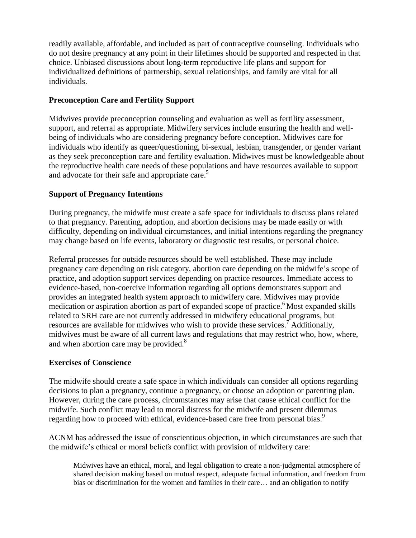readily available, affordable, and included as part of contraceptive counseling. Individuals who do not desire pregnancy at any point in their lifetimes should be supported and respected in that choice. Unbiased discussions about long-term reproductive life plans and support for individualized definitions of partnership, sexual relationships, and family are vital for all individuals.

#### **Preconception Care and Fertility Support**

Midwives provide preconception counseling and evaluation as well as fertility assessment, support, and referral as appropriate. Midwifery services include ensuring the health and wellbeing of individuals who are considering pregnancy before conception. Midwives care for individuals who identify as queer/questioning, bi-sexual, lesbian, transgender, or gender variant as they seek preconception care and fertility evaluation. Midwives must be knowledgeable about the reproductive health care needs of these populations and have resources available to support and advocate for their safe and appropriate care.<sup>5</sup>

#### **Support of Pregnancy Intentions**

During pregnancy, the midwife must create a safe space for individuals to discuss plans related to that pregnancy. Parenting, adoption, and abortion decisions may be made easily or with difficulty, depending on individual circumstances, and initial intentions regarding the pregnancy may change based on life events, laboratory or diagnostic test results, or personal choice.

Referral processes for outside resources should be well established. These may include pregnancy care depending on risk category, abortion care depending on the midwife's scope of practice, and adoption support services depending on practice resources. Immediate access to evidence-based, non-coercive information regarding all options demonstrates support and provides an integrated health system approach to midwifery care. Midwives may provide medication or aspiration abortion as part of expanded scope of practice.<sup>6</sup> Most expanded skills related to SRH care are not currently addressed in midwifery educational programs, but resources are available for midwives who wish to provide these services.<sup>7</sup> Additionally, midwives must be aware of all current laws and regulations that may restrict who, how, where, and when abortion care may be provided.<sup>8</sup>

#### **Exercises of Conscience**

The midwife should create a safe space in which individuals can consider all options regarding decisions to plan a pregnancy, continue a pregnancy, or choose an adoption or parenting plan. However, during the care process, circumstances may arise that cause ethical conflict for the midwife. Such conflict may lead to moral distress for the midwife and present dilemmas regarding how to proceed with ethical, evidence-based care free from personal bias.<sup>9</sup>

ACNM has addressed the issue of conscientious objection, in which circumstances are such that the midwife's ethical or moral beliefs conflict with provision of midwifery care:

Midwives have an ethical, moral, and legal obligation to create a non-judgmental atmosphere of shared decision making based on mutual respect, adequate factual information, and freedom from bias or discrimination for the women and families in their care… and an obligation to notify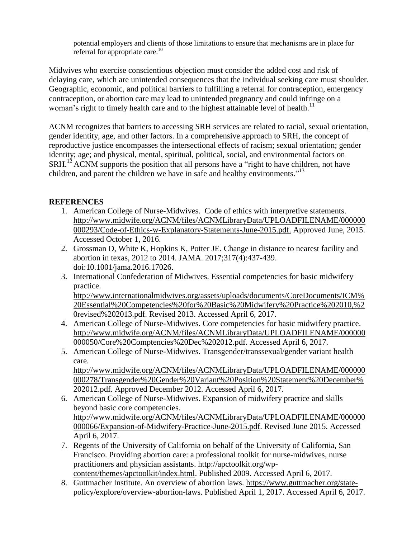potential employers and clients of those limitations to ensure that mechanisms are in place for referral for appropriate care.<sup>10</sup>

Midwives who exercise conscientious objection must consider the added cost and risk of delaying care, which are unintended consequences that the individual seeking care must shoulder. Geographic, economic, and political barriers to fulfilling a referral for contraception, emergency contraception, or abortion care may lead to unintended pregnancy and could infringe on a woman's right to timely health care and to the highest attainable level of health.<sup>11</sup>

ACNM recognizes that barriers to accessing SRH services are related to racial, sexual orientation, gender identity, age, and other factors. In a comprehensive approach to SRH, the concept of reproductive justice encompasses the intersectional effects of racism; sexual orientation; gender identity; age; and physical, mental, spiritual, political, social, and environmental factors on SRH.<sup>12</sup> ACNM supports the position that all persons have a "right to have children, not have children, and parent the children we have in safe and healthy environments."<sup>13</sup>

# **REFERENCES**

- 1. American College of Nurse-Midwives. Code of ethics with interpretive statements. [http://www.midwife.org/ACNM/files/ACNMLibraryData/UPLOADFILENAME/000000](http://www.midwife.org/ACNM/files/ACNMLibraryData/UPLOADFILENAME/000000000293/Code-of-Ethics-w-Explanatory-Statements-June-2015.pdf) [000293/Code-of-Ethics-w-Explanatory-Statements-June-2015.pdf.](http://www.midwife.org/ACNM/files/ACNMLibraryData/UPLOADFILENAME/000000000293/Code-of-Ethics-w-Explanatory-Statements-June-2015.pdf) Approved June, 2015. Accessed October 1, 2016.
- 2. Grossman D, White K, Hopkins K, Potter JE. Change in distance to nearest facility and abortion in texas, 2012 to 2014. JAMA. 2017;317(4):437-439. doi:10.1001/jama.2016.17026.
- 3. International Confederation of Midwives. Essential competencies for basic midwifery practice. [http://www.internationalmidwives.org/assets/uploads/documents/CoreDocuments/ICM%](http://www.internationalmidwives.org/assets/uploads/documents/CoreDocuments/ICM%20Essential%20Competencies%20for%20Basic%20Midwifery%20Practice%202010,%20revised%202013.pdf)

[20Essential%20Competencies%20for%20Basic%20Midwifery%20Practice%202010,%2](http://www.internationalmidwives.org/assets/uploads/documents/CoreDocuments/ICM%20Essential%20Competencies%20for%20Basic%20Midwifery%20Practice%202010,%20revised%202013.pdf) [0revised%202013.pdf.](http://www.internationalmidwives.org/assets/uploads/documents/CoreDocuments/ICM%20Essential%20Competencies%20for%20Basic%20Midwifery%20Practice%202010,%20revised%202013.pdf) Revised 2013. Accessed April 6, 2017.

- 4. American College of Nurse-Midwives. Core competencies for basic midwifery practice. [http://www.midwife.org/ACNM/files/ACNMLibraryData/UPLOADFILENAME/000000](http://www.midwife.org/ACNM/files/ACNMLibraryData/UPLOADFILENAME/000000000050/Core%20Comptencies%20Dec%202012.pdf) [000050/Core%20Comptencies%20Dec%202012.pdf.](http://www.midwife.org/ACNM/files/ACNMLibraryData/UPLOADFILENAME/000000000050/Core%20Comptencies%20Dec%202012.pdf) Accessed April 6, 2017.
- 5. American College of Nurse-Midwives. Transgender/transsexual/gender variant health care. [http://www.midwife.org/ACNM/files/ACNMLibraryData/UPLOADFILENAME/000000](http://www.midwife.org/ACNM/files/ACNMLibraryData/UPLOADFILENAME/000000000278/Transgender%20Gender%20Variant%20Position%20Statement%20December%202012.pdf)

[000278/Transgender%20Gender%20Variant%20Position%20Statement%20December%](http://www.midwife.org/ACNM/files/ACNMLibraryData/UPLOADFILENAME/000000000278/Transgender%20Gender%20Variant%20Position%20Statement%20December%202012.pdf) [202012.pdf.](http://www.midwife.org/ACNM/files/ACNMLibraryData/UPLOADFILENAME/000000000278/Transgender%20Gender%20Variant%20Position%20Statement%20December%202012.pdf) Approved December 2012. Accessed April 6, 2017.

- 6. American College of Nurse-Midwives. Expansion of midwifery practice and skills beyond basic core competencies. [http://www.midwife.org/ACNM/files/ACNMLibraryData/UPLOADFILENAME/000000](http://www.midwife.org/ACNM/files/ACNMLibraryData/UPLOADFILENAME/000000000066/Expansion-of-Midwifery-Practice-June-2015.pdf) [000066/Expansion-of-Midwifery-Practice-June-2015.pdf.](http://www.midwife.org/ACNM/files/ACNMLibraryData/UPLOADFILENAME/000000000066/Expansion-of-Midwifery-Practice-June-2015.pdf) Revised June 2015. Accessed April 6, 2017.
- 7. Regents of the University of California on behalf of the University of California, San Francisco. Providing abortion care: a professional toolkit for nurse-midwives, nurse practitioners and physician assistants. [http://apctoolkit.org/wp](http://apctoolkit.org/wp-content/themes/apctoolkit/index.html)[content/themes/apctoolkit/index.html.](http://apctoolkit.org/wp-content/themes/apctoolkit/index.html) Published 2009. Accessed April 6, 2017.
- 8. Guttmacher Institute. An overview of abortion laws. [https://www.guttmacher.org/state](https://www.guttmacher.org/state-policy/explore/overview-abortion-laws.%20Published%20April%201)[policy/explore/overview-abortion-laws. Published April 1,](https://www.guttmacher.org/state-policy/explore/overview-abortion-laws.%20Published%20April%201) 2017. Accessed April 6, 2017.